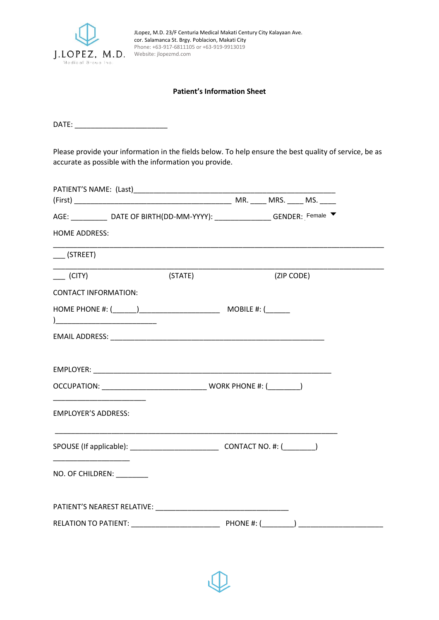

JLopez, M.D. 23/F Centuria Medical Makati Century City Kalayaan Ave. cor. Salamanca St. Brgy. Poblacion, Makati City Phone: +63-917-6811105 or +63-919-9913019

## **Patient's Information Sheet**

DATE: \_\_\_\_\_\_\_\_\_\_\_\_\_\_\_\_\_\_\_\_\_\_\_

Please provide your information in the fields below. To help ensure the best quality of service, be as accurate as possible with the information you provide.

|                                                                                                                                                                                                                                                                    | AGE: ______________ DATE OF BIRTH(DD-MM-YYYY): __________________GENDER: Female ▼ |         |            |  |  |
|--------------------------------------------------------------------------------------------------------------------------------------------------------------------------------------------------------------------------------------------------------------------|-----------------------------------------------------------------------------------|---------|------------|--|--|
| <b>HOME ADDRESS:</b>                                                                                                                                                                                                                                               |                                                                                   |         |            |  |  |
| $\sqrt{STREET}$                                                                                                                                                                                                                                                    |                                                                                   |         |            |  |  |
| (CITY)                                                                                                                                                                                                                                                             |                                                                                   | (STATE) | (ZIP CODE) |  |  |
| <b>CONTACT INFORMATION:</b>                                                                                                                                                                                                                                        |                                                                                   |         |            |  |  |
|                                                                                                                                                                                                                                                                    |                                                                                   |         |            |  |  |
|                                                                                                                                                                                                                                                                    |                                                                                   |         |            |  |  |
|                                                                                                                                                                                                                                                                    |                                                                                   |         |            |  |  |
|                                                                                                                                                                                                                                                                    |                                                                                   |         |            |  |  |
| <u> 1989 - Johann Harry Harry Harry Harry Harry Harry Harry Harry Harry Harry Harry Harry Harry Harry Harry Harry Harry Harry Harry Harry Harry Harry Harry Harry Harry Harry Harry Harry Harry Harry Harry Harry Harry Harry Ha</u><br><b>EMPLOYER'S ADDRESS:</b> |                                                                                   |         |            |  |  |
|                                                                                                                                                                                                                                                                    |                                                                                   |         |            |  |  |
| NO. OF CHILDREN: ________                                                                                                                                                                                                                                          |                                                                                   |         |            |  |  |
|                                                                                                                                                                                                                                                                    |                                                                                   |         |            |  |  |
|                                                                                                                                                                                                                                                                    |                                                                                   |         |            |  |  |